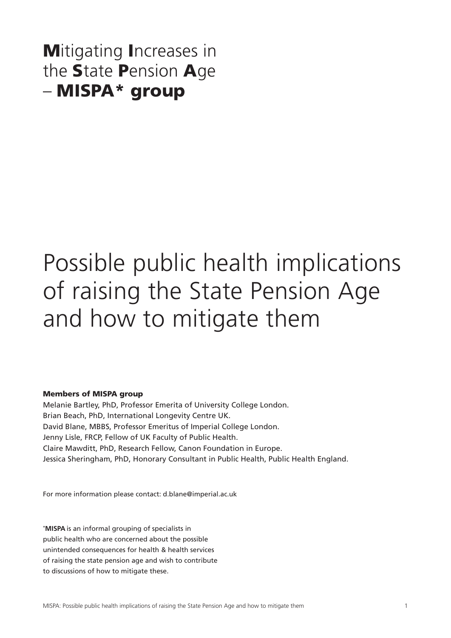# **Mitigating Increases in** the State Pension Age – MISPA\* group

# Possible public health implications of raising the State Pension Age and how to mitigate them

#### Members of MISPA group

Melanie Bartley, PhD, Professor Emerita of University College London. Brian Beach, PhD, International Longevity Centre UK. David Blane, MBBS, Professor Emeritus of Imperial College London. Jenny Lisle, FRCP, Fellow of UK Faculty of Public Health. Claire Mawditt, PhD, Research Fellow, Canon Foundation in Europe. Jessica Sheringham, PhD, Honorary Consultant in Public Health, Public Health England.

For more information please contact: d.blane@imperial.ac.uk

**\* MISPA** is an informal grouping of specialists in public health who are concerned about the possible unintended consequences for health & health services of raising the state pension age and wish to contribute to discussions of how to mitigate these.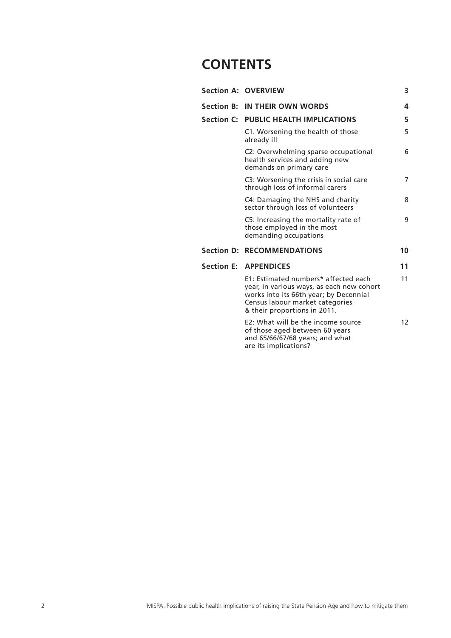# **CONTENTS**

|  | <b>Section A: OVERVIEW</b>                                                                                                                                                                     | 3               |
|--|------------------------------------------------------------------------------------------------------------------------------------------------------------------------------------------------|-----------------|
|  | Section B: IN THEIR OWN WORDS                                                                                                                                                                  | 4               |
|  | Section C: PUBLIC HEALTH IMPLICATIONS                                                                                                                                                          | 5               |
|  | C1. Worsening the health of those<br>already ill                                                                                                                                               | 5               |
|  | C2: Overwhelming sparse occupational<br>health services and adding new<br>demands on primary care                                                                                              | 6               |
|  | C3: Worsening the crisis in social care<br>through loss of informal carers                                                                                                                     | 7               |
|  | C4: Damaging the NHS and charity<br>sector through loss of volunteers                                                                                                                          | 8               |
|  | C5: Increasing the mortality rate of<br>those employed in the most<br>demanding occupations                                                                                                    | 9               |
|  | <b>Section D: RECOMMENDATIONS</b>                                                                                                                                                              | 10              |
|  | <b>Section E: APPENDICES</b>                                                                                                                                                                   | 11              |
|  | E1: Estimated numbers* affected each<br>year, in various ways, as each new cohort<br>works into its 66th year; by Decennial<br>Census labour market categories<br>& their proportions in 2011. | 11              |
|  | E2: What will be the income source<br>of those aged between 60 years<br>and 65/66/67/68 years; and what<br>are its implications?                                                               | 12 <sup>2</sup> |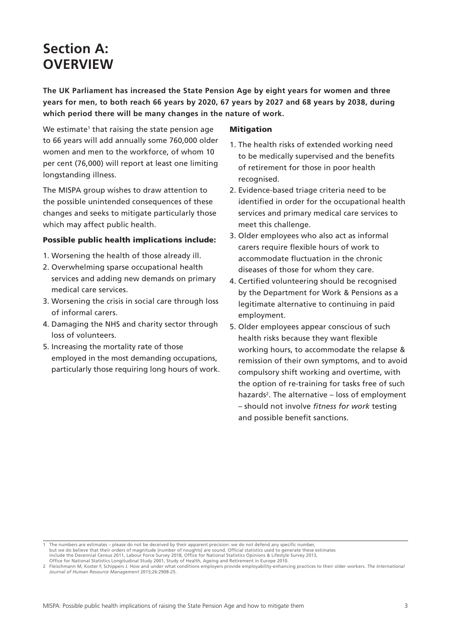# **Section A: OVERVIEW**

**The UK Parliament has increased the State Pension Age by eight years for women and three years for men, to both reach 66 years by 2020, 67 years by 2027 and 68 years by 2038, during which period there will be many changes in the nature of work.** 

We estimate<sup>1</sup> that raising the state pension age to 66 years will add annually some 760,000 older women and men to the workforce, of whom 10 per cent (76,000) will report at least one limiting longstanding illness.

The MISPA group wishes to draw attention to the possible unintended consequences of these changes and seeks to mitigate particularly those which may affect public health.

#### Possible public health implications include:

- 1. Worsening the health of those already ill.
- 2. Overwhelming sparse occupational health services and adding new demands on primary medical care services.
- 3. Worsening the crisis in social care through loss of informal carers.
- 4. Damaging the NHS and charity sector through loss of volunteers.
- 5. Increasing the mortality rate of those employed in the most demanding occupations, particularly those requiring long hours of work.

#### **Mitigation**

- 1. The health risks of extended working need to be medically supervised and the benefits of retirement for those in poor health recognised.
- 2. Evidence-based triage criteria need to be identified in order for the occupational health services and primary medical care services to meet this challenge.
- 3. Older employees who also act as informal carers require flexible hours of work to accommodate fluctuation in the chronic diseases of those for whom they care.
- 4. Certified volunteering should be recognised by the Department for Work & Pensions as a legitimate alternative to continuing in paid employment.
- 5. Older employees appear conscious of such health risks because they want flexible working hours, to accommodate the relapse & remission of their own symptoms, and to avoid compulsory shift working and overtime, with the option of re-training for tasks free of such hazards<sup>2</sup>. The alternative – loss of employment – should not involve *fitness for work* testing and possible benefit sanctions.

The numbers are estimates – please do not be deceived by their apparent precision: we do not defend any specific number, but we do believe that their orders of magnitude (number of noughts) are sound. Official statistics used to generate these estimates<br>include the Decennial Census 2011, Labour Force Survey 2018, Office for National Statisti

Office for National Statistics Longitudinal Study 2001, Study of Health, Ageing and Retirement in Europe 2010.

<sup>2</sup> Fleischmann M, Koster F, Schippers J. How and under what conditions employers provide employability-enhancing practices to their older workers. *The International Journal of Human Resource Management* 2015;26:2908-25.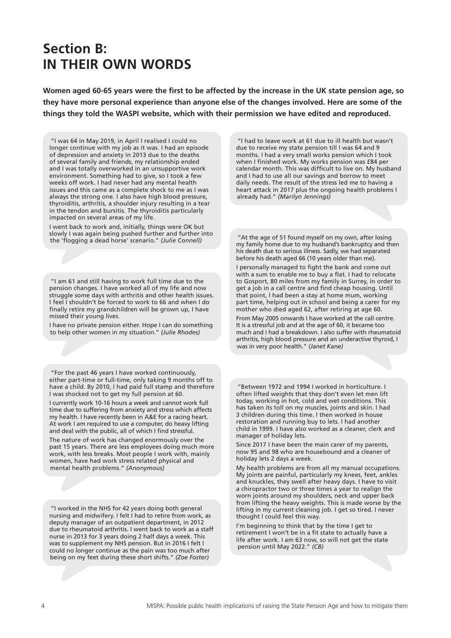# **Section B: IN THEIR OWN WORDS**

**Women aged 60-65 years were the first to be affected by the increase in the UK state pension age, so they have more personal experience than anyone else of the changes involved. Here are some of the things they told the WASPI website, which with their permission we have edited and reproduced.** 

"I was 64 in May 2019, in April I realised I could no longer continue with my job as it was. I had an episode of depression and anxiety in 2013 due to the deaths of several family and friends, my relationship ended and I was totally overworked in an unsupportive work environment. Something had to give, so I took a few weeks off work. I had never had any mental health issues and this came as a complete shock to me as I was always the strong one. I also have high blood pressure, thyroiditis, arthritis, a shoulder injury resulting in a tear in the tendon and bursitis. The thyroiditis particularly impacted on several areas of my life.

I went back to work and, initially, things were OK but slowly I was again being pushed further and further into the 'flogging a dead horse' scenario." *(Julie Connell)*

"I am 61 and still having to work full time due to the pension changes. I have worked all of my life and now struggle some days with arthritis and other health issues. I feel I shouldn't be forced to work to 66 and when I do finally retire my grandchildren will be grown up, I have missed their young lives.

I have no private pension either. Hope I can do something to help other women in my situation." *(Julie Rhodes)*

"For the past 46 years I have worked continuously, either part-time or full-time, only taking 9 months off to have a child. By 2010, I had paid full stamp and therefore I was shocked not to get my full pension at 60.

I currently work 10-16 hours a week and cannot work full time due to suffering from anxiety and stress which affects my health. I have recently been in A&E for a racing heart. At work I am required to use a computer, do heavy lifting and deal with the public, all of which I find stressful.

The nature of work has changed enormously over the past 15 years. There are less employees doing much more work, with less breaks. Most people I work with, mainly women, have had work stress related physical and mental health problems." *(Anonymous)*

"I worked in the NHS for 42 years doing both general nursing and midwifery. I felt I had to retire from work, as deputy manager of an outpatient department, in 2012 due to rheumatoid arthritis. I went back to work as a staff nurse in 2013 for 3 years doing 2 half days a week. This was to supplement my NHS pension. But in 2016 I felt I could no longer continue as the pain was too much after being on my feet during these short shifts." *(Zoe Foster)*

"I had to leave work at 61 due to ill health but wasn't due to receive my state pension till I was 64 and 9 months. I had a very small works pension which I took when I finished work. My works pension was £84 per calendar month. This was difficult to live on. My husband and I had to use all our savings and borrow to meet daily needs. The result of the stress led me to having a heart attack in 2017 plus the ongoing health problems I already had." *(Marilyn Jennings)*

"At the age of 51 found myself on my own, after losing my family home due to my husband's bankruptcy and then his death due to serious illness. Sadly, we had separated before his death aged 66 (10 years older than me).

I personally managed to fight the bank and come out with a sum to enable me to buy a flat. I had to relocate to Gosport, 80 miles from my family in Surrey, in order to get a job in a call centre and find cheap housing. Until that point, I had been a stay at home mum, working part time, helping out in school and being a carer for my mother who died aged 62, after retiring at age 60.

From May 2005 onwards I have worked at the call centre. It is a stressful job and at the age of 60, it became too much and I had a breakdown. I also suffer with rheumatoid arthritis, high blood pressure and an underactive thyroid, I was in very poor health." *(Janet Kane)*

"Between 1972 and 1994 I worked in horticulture. I often lifted weights that they don't even let men lift today, working in hot, cold and wet conditions. This has taken its toll on my muscles, joints and skin. I had 3 children during this time. I then worked in house restoration and running buy to lets. I had another child in 1999. I have also worked as a cleaner, clerk and manager of holiday lets.

Since 2017 I have been the main carer of my parents, now 95 and 98 who are housebound and a cleaner of holiday lets 2 days a week.

My health problems are from all my manual occupations. My joints are painful, particularly my knees, feet, ankles and knuckles, they swell after heavy days. I have to visit a chiropractor two or three times a year to realign the worn joints around my shoulders, neck and upper back from lifting the heavy weights. This is made worse by the lifting in my current cleaning job. I get so tired. I never thought I could feel this way.

I'm beginning to think that by the time I get to retirement I won't be in a fit state to actually have a life after work. I am 63 now, so will not get the state pension until May 2022." *(CB)*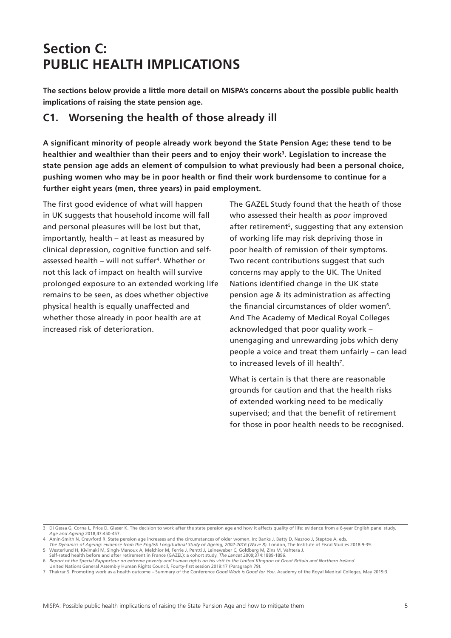# **Section C: PUBLIC HEALTH IMPLICATIONS**

**The sections below provide a little more detail on MISPA's concerns about the possible public health implications of raising the state pension age.**

# **C1. Worsening the health of those already ill**

**A significant minority of people already work beyond the State Pension Age; these tend to be healthier and wealthier than their peers and to enjoy their work3. Legislation to increase the state pension age adds an element of compulsion to what previously had been a personal choice, pushing women who may be in poor health or find their work burdensome to continue for a further eight years (men, three years) in paid employment.** 

The first good evidence of what will happen in UK suggests that household income will fall and personal pleasures will be lost but that, importantly, health – at least as measured by clinical depression, cognitive function and selfassessed health – will not suffer4 . Whether or not this lack of impact on health will survive prolonged exposure to an extended working life remains to be seen, as does whether objective physical health is equally unaffected and whether those already in poor health are at increased risk of deterioration.

The GAZEL Study found that the heath of those who assessed their health as *poor* improved after retirement<sup>5</sup>, suggesting that any extension of working life may risk depriving those in poor health of remission of their symptoms. Two recent contributions suggest that such concerns may apply to the UK. The United Nations identified change in the UK state pension age & its administration as affecting the financial circumstances of older women<sup>6</sup>. And The Academy of Medical Royal Colleges acknowledged that poor quality work – unengaging and unrewarding jobs which deny people a voice and treat them unfairly – can lead to increased levels of ill health<sup>7</sup>.

What is certain is that there are reasonable grounds for caution and that the health risks of extended working need to be medically supervised; and that the benefit of retirement for those in poor health needs to be recognised.

<sup>3</sup> Di Gessa G, Corna L, Price D, Glaser K. The decision to work after the state pension age and how it affects quality of life: evidence from a 6-year English panel study. *Age and Ageing* 2018;47:450-457.

<sup>4</sup> Amin-Smith N, Crawford R. State pension age increases and the circumstances of older women. In: Banks J, Batty D, Nazroo J, Steptoe A, eds.

The Dynamics of Ageing: evidence from the English Longitudinal Study of Ageing, 2002-2016 (Wave 8). London, The Institute of Fiscal Studies 2018:9-39. 5 Westerlund H, Kivimaki M, Singh-Manoux A, Melchior M, Ferrie J, Pentti J, Leineweber C, Goldberg M, Zins M, Vahtera J.

Self-rated health before and after retirement in France (GAZEL): a cohort study. *The Lancet* 2009;374:1889-1896.

<sup>6</sup> *Report of the Special Rapporteur on extreme poverty and human rights on his visit to the United KIngdon of Great Britain and Northern Ireland*.

United Nations General Assembly Human Rights Council, Fourty-first session 2019:17 (Paragraph 79).<br>7. Thakrar S. Promoting work as a health outcome – Summary of the Conference *Good Work is Good for You.* Academy of the Ro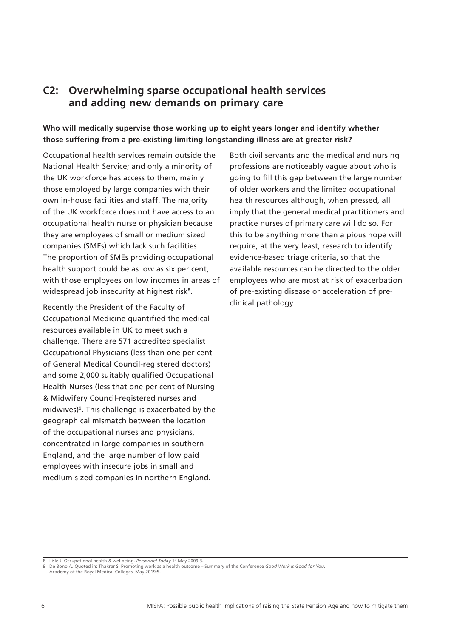## **C2: Overwhelming sparse occupational health services and adding new demands on primary care**

### **Who will medically supervise those working up to eight years longer and identify whether those suffering from a pre-existing limiting longstanding illness are at greater risk?**

Occupational health services remain outside the National Health Service; and only a minority of the UK workforce has access to them, mainly those employed by large companies with their own in-house facilities and staff. The majority of the UK workforce does not have access to an occupational health nurse or physician because they are employees of small or medium sized companies (SMEs) which lack such facilities. The proportion of SMEs providing occupational health support could be as low as six per cent, with those employees on low incomes in areas of widespread job insecurity at highest risk<sup>8</sup>.

Recently the President of the Faculty of Occupational Medicine quantified the medical resources available in UK to meet such a challenge. There are 571 accredited specialist Occupational Physicians (less than one per cent of General Medical Council-registered doctors) and some 2,000 suitably qualified Occupational Health Nurses (less that one per cent of Nursing & Midwifery Council-registered nurses and midwives)<sup>9</sup>. This challenge is exacerbated by the geographical mismatch between the location of the occupational nurses and physicians, concentrated in large companies in southern England, and the large number of low paid employees with insecure jobs in small and medium-sized companies in northern England.

Both civil servants and the medical and nursing professions are noticeably vague about who is going to fill this gap between the large number of older workers and the limited occupational health resources although, when pressed, all imply that the general medical practitioners and practice nurses of primary care will do so. For this to be anything more than a pious hope will require, at the very least, research to identify evidence-based triage criteria, so that the available resources can be directed to the older employees who are most at risk of exacerbation of pre-existing disease or acceleration of preclinical pathology.

<sup>8</sup> Lisle J. Occupational health & wellbeing. *Personnel Today* 1st May 2009:3.

<sup>9</sup> De Bono A. Quoted in: Thakrar S. Promoting work as a health outcome – Summary of the Conference *Good Work is Good for You*. Academy of the Royal Medical Colleges, May 2019:5.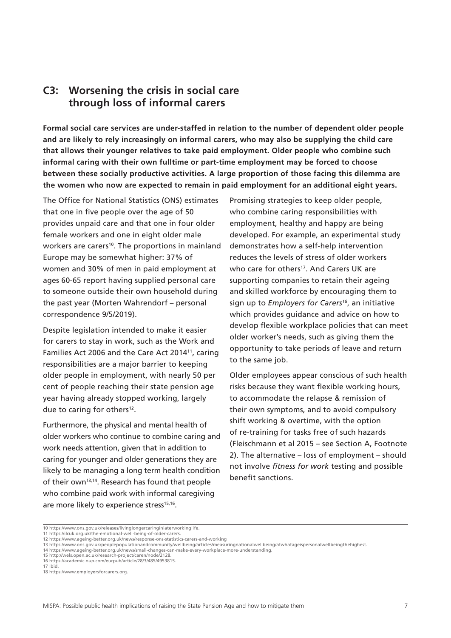### **C3: Worsening the crisis in social care through loss of informal carers**

**Formal social care services are under-staffed in relation to the number of dependent older people and are likely to rely increasingly on informal carers, who may also be supplying the child care that allows their younger relatives to take paid employment. Older people who combine such informal caring with their own fulltime or part-time employment may be forced to choose between these socially productive activities. A large proportion of those facing this dilemma are the women who now are expected to remain in paid employment for an additional eight years.** 

The Office for National Statistics (ONS) estimates that one in five people over the age of 50 provides unpaid care and that one in four older female workers and one in eight older male workers are carers<sup>10</sup>. The proportions in mainland Europe may be somewhat higher: 37% of women and 30% of men in paid employment at ages 60-65 report having supplied personal care to someone outside their own household during the past year (Morten Wahrendorf – personal correspondence 9/5/2019).

Despite legislation intended to make it easier for carers to stay in work, such as the Work and Families Act 2006 and the Care Act 2014<sup>11</sup>, caring responsibilities are a major barrier to keeping older people in employment, with nearly 50 per cent of people reaching their state pension age year having already stopped working, largely due to caring for others<sup>12</sup>.

Furthermore, the physical and mental health of older workers who continue to combine caring and work needs attention, given that in addition to caring for younger and older generations they are likely to be managing a long term health condition of their own<sup>13,14</sup>. Research has found that people who combine paid work with informal caregiving are more likely to experience stress<sup>15,16</sup>.

Promising strategies to keep older people, who combine caring responsibilities with employment, healthy and happy are being developed. For example, an experimental study demonstrates how a self-help intervention reduces the levels of stress of older workers who care for others<sup>17</sup>. And Carers UK are supporting companies to retain their ageing and skilled workforce by encouraging them to sign up to *Employers for Carers18*, an initiative which provides guidance and advice on how to develop flexible workplace policies that can meet older worker's needs, such as giving them the opportunity to take periods of leave and return to the same job.

Older employees appear conscious of such health risks because they want flexible working hours, to accommodate the relapse & remission of their own symptoms, and to avoid compulsory shift working & overtime, with the option of re-training for tasks free of such hazards (Fleischmann et al 2015 – see Section A, Footnote 2). The alternative – loss of employment – should not involve *fitness for work* testing and possible benefit sanctions.

<sup>10</sup> https://www.ons.gov.uk/releases/livinglongercaringinlaterworkinglife. 11 https://ilcuk.org.uk/the-emotional-well-being-of-older-carers.

<sup>12</sup> https://www.ageing-better.org.uk/news/response-ons-statistics-carers-and-working

<sup>13</sup> https://www.ons.gov.uk/peoplepopulationandcommunity/wellbeing/articles/measuringnationalwellbeing/atwhatageispersonalwellbeingthehighest.

<sup>14</sup> https://www.ageing-better.org.uk/news/small-changes-can-make-every-workplace-more-understanding. 15 http://wels.open.ac.uk/research-project/caren/node/2128.

<sup>16</sup> https://academic.oup.com/eurpub/article/28/3/485/4953815.

<sup>17</sup> Ibid.

<sup>18</sup> https://www.employersforcarers.org.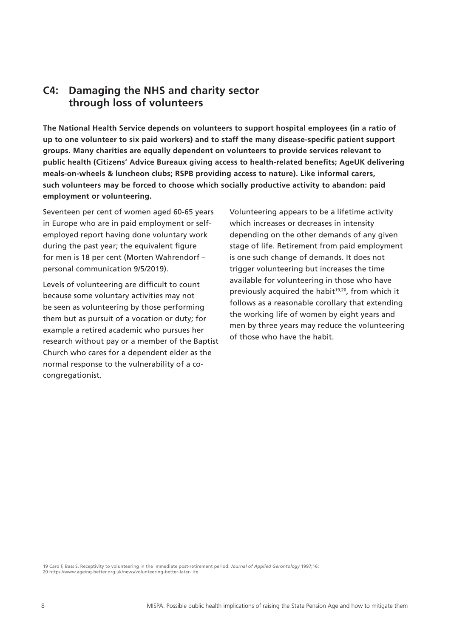## **C4: Damaging the NHS and charity sector through loss of volunteers**

**The National Health Service depends on volunteers to support hospital employees (in a ratio of up to one volunteer to six paid workers) and to staff the many disease-specific patient support groups. Many charities are equally dependent on volunteers to provide services relevant to public health (Citizens' Advice Bureaux giving access to health-related benefits; AgeUK delivering meals-on-wheels & luncheon clubs; RSPB providing access to nature). Like informal carers, such volunteers may be forced to choose which socially productive activity to abandon: paid employment or volunteering.** 

Seventeen per cent of women aged 60-65 years in Europe who are in paid employment or selfemployed report having done voluntary work during the past year; the equivalent figure for men is 18 per cent (Morten Wahrendorf – personal communication 9/5/2019).

Levels of volunteering are difficult to count because some voluntary activities may not be seen as volunteering by those performing them but as pursuit of a vocation or duty; for example a retired academic who pursues her research without pay or a member of the Baptist Church who cares for a dependent elder as the normal response to the vulnerability of a cocongregationist.

Volunteering appears to be a lifetime activity which increases or decreases in intensity depending on the other demands of any given stage of life. Retirement from paid employment is one such change of demands. It does not trigger volunteering but increases the time available for volunteering in those who have previously acquired the habit<sup>19,20</sup>, from which it follows as a reasonable corollary that extending the working life of women by eight years and men by three years may reduce the volunteering of those who have the habit.

19 Caro F, Bass S. Receptivity to volunteering in the immediate post-retirement period. *Journal of Applied Gerontology* 1997;16: 20 https://www.ageing-better.org.uk/news/volunteering-better-later-life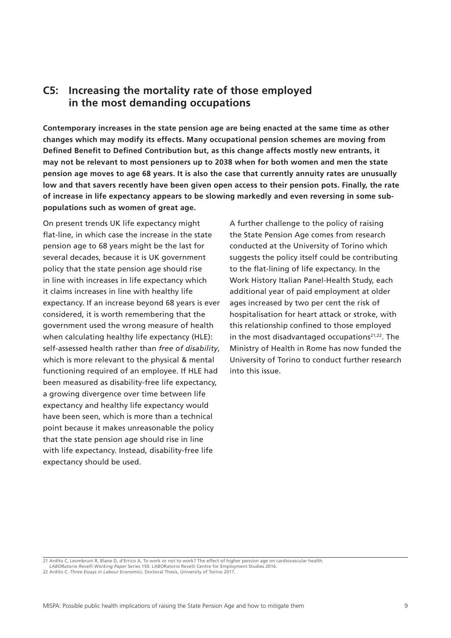### **C5: Increasing the mortality rate of those employed in the most demanding occupations**

**Contemporary increases in the state pension age are being enacted at the same time as other changes which may modify its effects. Many occupational pension schemes are moving from Defined Benefit to Defined Contribution but, as this change affects mostly new entrants, it may not be relevant to most pensioners up to 2038 when for both women and men the state pension age moves to age 68 years. It is also the case that currently annuity rates are unusually low and that savers recently have been given open access to their pension pots. Finally, the rate of increase in life expectancy appears to be slowing markedly and even reversing in some subpopulations such as women of great age.**

On present trends UK life expectancy might flat-line, in which case the increase in the state pension age to 68 years might be the last for several decades, because it is UK government policy that the state pension age should rise in line with increases in life expectancy which it claims increases in line with healthy life expectancy. If an increase beyond 68 years is ever considered, it is worth remembering that the government used the wrong measure of health when calculating healthy life expectancy (HLE): self-assessed health rather than *free of disability*, which is more relevant to the physical & mental functioning required of an employee. If HLE had been measured as disability-free life expectancy, a growing divergence over time between life expectancy and healthy life expectancy would have been seen, which is more than a technical point because it makes unreasonable the policy that the state pension age should rise in line with life expectancy. Instead, disability-free life expectancy should be used.

A further challenge to the policy of raising the State Pension Age comes from research conducted at the University of Torino which suggests the policy itself could be contributing to the flat-lining of life expectancy. In the Work History Italian Panel-Health Study, each additional year of paid employment at older ages increased by two per cent the risk of hospitalisation for heart attack or stroke, with this relationship confined to those employed in the most disadvantaged occupations $21,22$ . The Ministry of Health in Rome has now funded the University of Torino to conduct further research into this issue.

21 Ardito C, Leombruni R, Blane D, d'Errico A. To work or not to work? The effect of higher pension age on cardiovascular health.

*LABORatorio Revelli Working Paper* Series 150. LABORatorio Revelli Centre for Employment Studies 2016.

22 Ardito C. *Three Essays in Labour Economics*. Doctoral Thesis, University of Torino 2017.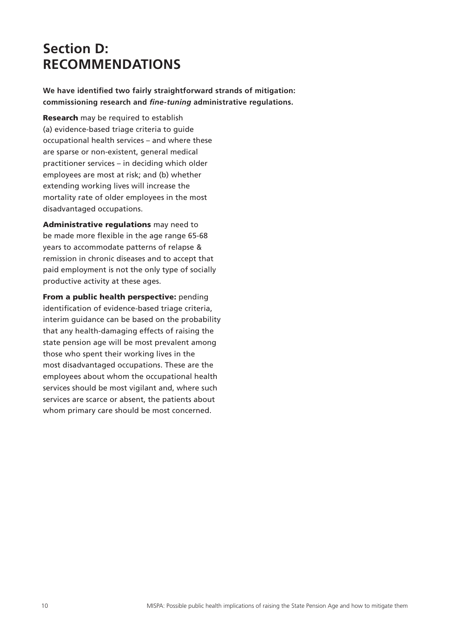# **Section D: RECOMMENDATIONS**

**We have identified two fairly straightforward strands of mitigation: commissioning research and** *fine-tuning* **administrative regulations.**

Research may be required to establish (a) evidence-based triage criteria to guide occupational health services – and where these are sparse or non-existent, general medical practitioner services – in deciding which older employees are most at risk; and (b) whether extending working lives will increase the mortality rate of older employees in the most disadvantaged occupations.

Administrative regulations may need to be made more flexible in the age range 65-68 years to accommodate patterns of relapse & remission in chronic diseases and to accept that paid employment is not the only type of socially productive activity at these ages.

From a public health perspective: pending identification of evidence-based triage criteria, interim guidance can be based on the probability that any health-damaging effects of raising the state pension age will be most prevalent among those who spent their working lives in the most disadvantaged occupations. These are the employees about whom the occupational health services should be most vigilant and, where such services are scarce or absent, the patients about whom primary care should be most concerned.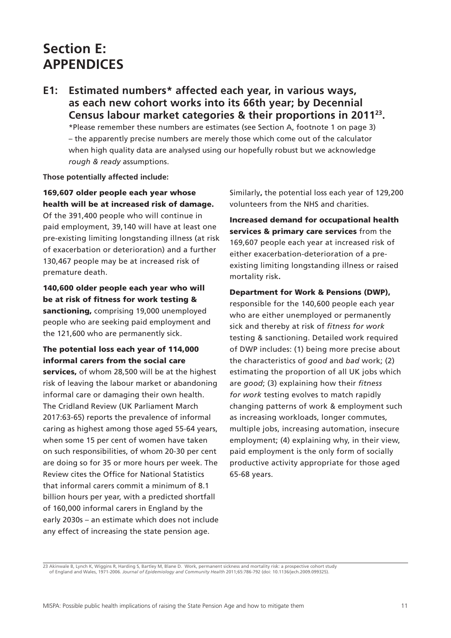# **Section E: APPENDICES**

**E1: Estimated numbers\* affected each year, in various ways, as each new cohort works into its 66th year; by Decennial Census labour market categories & their proportions in 201123.**

\*Please remember these numbers are estimates (see Section A, footnote 1 on page 3) – the apparently precise numbers are merely those which come out of the calculator when high quality data are analysed using our hopefully robust but we acknowledge *rough & ready* assumptions.

#### **Those potentially affected include:**

### 169,607 older people each year whose health will be at increased risk of damage.

Of the 391,400 people who will continue in paid employment, 39,140 will have at least one pre-existing limiting longstanding illness (at risk of exacerbation or deterioration) and a further 130,467 people may be at increased risk of premature death.

140,600 older people each year who will be at risk of fitness for work testing & sanctioning, comprising 19,000 unemployed people who are seeking paid employment and the 121,600 who are permanently sick.

### The potential loss each year of 114,000 informal carers from the social care

services, of whom 28,500 will be at the highest risk of leaving the labour market or abandoning informal care or damaging their own health. The Cridland Review (UK Parliament March 2017:63-65) reports the prevalence of informal caring as highest among those aged 55-64 years, when some 15 per cent of women have taken on such responsibilities, of whom 20-30 per cent are doing so for 35 or more hours per week. The Review cites the Office for National Statistics that informal carers commit a minimum of 8.1 billion hours per year, with a predicted shortfall of 160,000 informal carers in England by the early 2030s – an estimate which does not include any effect of increasing the state pension age.

Similarly**,** the potential loss each year of 129,200 volunteers from the NHS and charities.

Increased demand for occupational health services & primary care services from the 169,607 people each year at increased risk of either exacerbation-deterioration of a preexisting limiting longstanding illness or raised mortality risk**.**

Department for Work & Pensions (DWP), responsible for the 140,600 people each year who are either unemployed or permanently sick and thereby at risk of *fitness for work*  testing & sanctioning. Detailed work required of DWP includes: (1) being more precise about the characteristics of *good* and *bad* work; (2) estimating the proportion of all UK jobs which are *good*; (3) explaining how their *fitness for work* testing evolves to match rapidly changing patterns of work & employment such as increasing workloads, longer commutes, multiple jobs, increasing automation, insecure employment; (4) explaining why, in their view, paid employment is the only form of socially productive activity appropriate for those aged 65-68 years.

23 Akinwale B, Lynch K, Wiggins R, Harding S, Bartley M, Blane D. Work, permanent sickness and mortality risk: a prospective cohort study of England and Wales, 1971-2006. *Journal of Epidemiology and Community Health* 2011;65:786-792 (doi: 10.1136/jech.2009.099325).